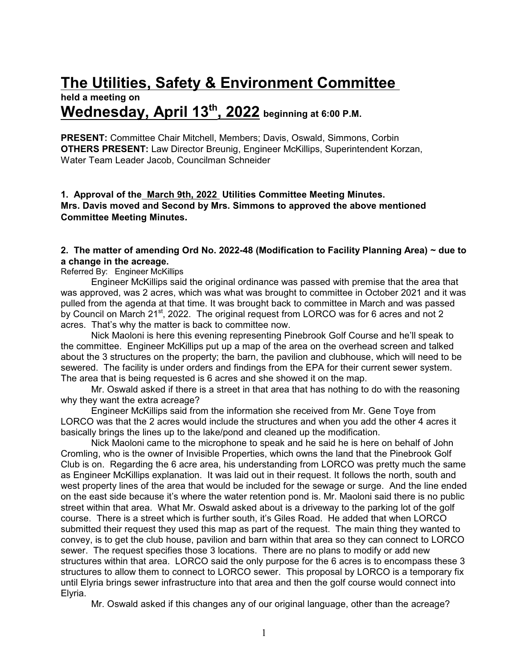# **The Utilities, Safety & Environment Committee**

# **held a meeting on Wednesday, April 13th , 2022 beginning at 6:00 P.M.**

**PRESENT:** Committee Chair Mitchell, Members; Davis, Oswald, Simmons, Corbin **OTHERS PRESENT:** Law Director Breunig, Engineer McKillips, Superintendent Korzan, Water Team Leader Jacob, Councilman Schneider

**1. Approval of the March 9th, 2022 Utilities Committee Meeting Minutes. Mrs. Davis moved and Second by Mrs. Simmons to approved the above mentioned Committee Meeting Minutes.**

#### **2. The matter of amending Ord No. 2022-48 (Modification to Facility Planning Area) ~ due to a change in the acreage.**

Referred By: Engineer McKillips

Engineer McKillips said the original ordinance was passed with premise that the area that was approved, was 2 acres, which was what was brought to committee in October 2021 and it was pulled from the agenda at that time. It was brought back to committee in March and was passed by Council on March 21<sup>st</sup>, 2022. The original request from LORCO was for 6 acres and not 2 acres. That's why the matter is back to committee now.

Nick Maoloni is here this evening representing Pinebrook Golf Course and he'll speak to the committee. Engineer McKillips put up a map of the area on the overhead screen and talked about the 3 structures on the property; the barn, the pavilion and clubhouse, which will need to be sewered. The facility is under orders and findings from the EPA for their current sewer system. The area that is being requested is 6 acres and she showed it on the map.

Mr. Oswald asked if there is a street in that area that has nothing to do with the reasoning why they want the extra acreage?

Engineer McKillips said from the information she received from Mr. Gene Toye from LORCO was that the 2 acres would include the structures and when you add the other 4 acres it basically brings the lines up to the lake/pond and cleaned up the modification.

Nick Maoloni came to the microphone to speak and he said he is here on behalf of John Cromling, who is the owner of Invisible Properties, which owns the land that the Pinebrook Golf Club is on. Regarding the 6 acre area, his understanding from LORCO was pretty much the same as Engineer McKillips explanation. It was laid out in their request. It follows the north, south and west property lines of the area that would be included for the sewage or surge. And the line ended on the east side because it's where the water retention pond is. Mr. Maoloni said there is no public street within that area. What Mr. Oswald asked about is a driveway to the parking lot of the golf course. There is a street which is further south, it's Giles Road. He added that when LORCO submitted their request they used this map as part of the request. The main thing they wanted to convey, is to get the club house, pavilion and barn within that area so they can connect to LORCO sewer. The request specifies those 3 locations. There are no plans to modify or add new structures within that area. LORCO said the only purpose for the 6 acres is to encompass these 3 structures to allow them to connect to LORCO sewer. This proposal by LORCO is a temporary fix until Elyria brings sewer infrastructure into that area and then the golf course would connect into Elyria.

Mr. Oswald asked if this changes any of our original language, other than the acreage?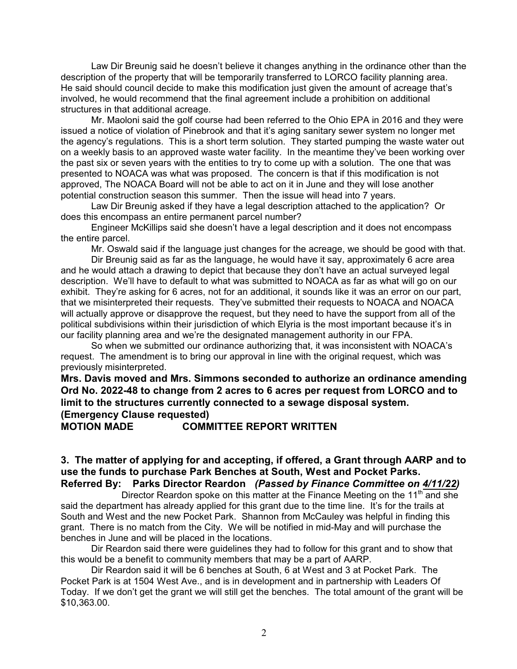Law Dir Breunig said he doesn't believe it changes anything in the ordinance other than the description of the property that will be temporarily transferred to LORCO facility planning area. He said should council decide to make this modification just given the amount of acreage that's involved, he would recommend that the final agreement include a prohibition on additional structures in that additional acreage.

Mr. Maoloni said the golf course had been referred to the Ohio EPA in 2016 and they were issued a notice of violation of Pinebrook and that it's aging sanitary sewer system no longer met the agency's regulations. This is a short term solution. They started pumping the waste water out on a weekly basis to an approved waste water facility. In the meantime they've been working over the past six or seven years with the entities to try to come up with a solution. The one that was presented to NOACA was what was proposed. The concern is that if this modification is not approved, The NOACA Board will not be able to act on it in June and they will lose another potential construction season this summer. Then the issue will head into 7 years.

Law Dir Breunig asked if they have a legal description attached to the application? Or does this encompass an entire permanent parcel number?

Engineer McKillips said she doesn't have a legal description and it does not encompass the entire parcel.

Mr. Oswald said if the language just changes for the acreage, we should be good with that.

Dir Breunig said as far as the language, he would have it say, approximately 6 acre area and he would attach a drawing to depict that because they don't have an actual surveyed legal description. We'll have to default to what was submitted to NOACA as far as what will go on our exhibit. They're asking for 6 acres, not for an additional, it sounds like it was an error on our part, that we misinterpreted their requests. They've submitted their requests to NOACA and NOACA will actually approve or disapprove the request, but they need to have the support from all of the political subdivisions within their jurisdiction of which Elyria is the most important because it's in our facility planning area and we're the designated management authority in our FPA.

So when we submitted our ordinance authorizing that, it was inconsistent with NOACA's request. The amendment is to bring our approval in line with the original request, which was previously misinterpreted.

**Mrs. Davis moved and Mrs. Simmons seconded to authorize an ordinance amending Ord No. 2022-48 to change from 2 acres to 6 acres per request from LORCO and to limit to the structures currently connected to a sewage disposal system. (Emergency Clause requested)**

**MOTION MADE COMMITTEE REPORT WRITTEN**

#### **3. The matter of applying for and accepting, if offered, a Grant through AARP and to use the funds to purchase Park Benches at South, West and Pocket Parks. Referred By: Parks Director Reardon** *(Passed by Finance Committee on 4/11/22)*

Director Reardon spoke on this matter at the Finance Meeting on the 11<sup>th</sup> and she said the department has already applied for this grant due to the time line. It's for the trails at South and West and the new Pocket Park. Shannon from McCauley was helpful in finding this grant. There is no match from the City. We will be notified in mid-May and will purchase the benches in June and will be placed in the locations.

Dir Reardon said there were guidelines they had to follow for this grant and to show that this would be a benefit to community members that may be a part of AARP.

Dir Reardon said it will be 6 benches at South, 6 at West and 3 at Pocket Park. The Pocket Park is at 1504 West Ave., and is in development and in partnership with Leaders Of Today. If we don't get the grant we will still get the benches. The total amount of the grant will be \$10,363.00.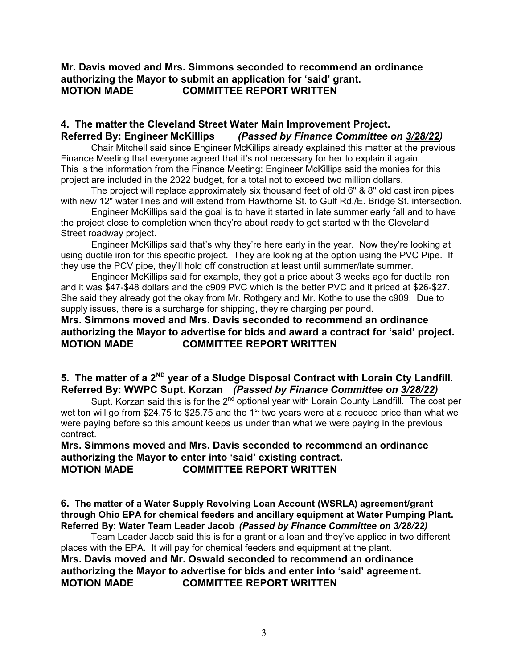## **Mr. Davis moved and Mrs. Simmons seconded to recommend an ordinance authorizing the Mayor to submit an application for 'said' grant. MOTION MADE COMMITTEE REPORT WRITTEN**

#### **4. The matter the Cleveland Street Water Main Improvement Project. Referred By: Engineer McKillips** *(Passed by Finance Committee on 3/28/22)*

Chair Mitchell said since Engineer McKillips already explained this matter at the previous Finance Meeting that everyone agreed that it's not necessary for her to explain it again. This is the information from the Finance Meeting; Engineer McKillips said the monies for this project are included in the 2022 budget, for a total not to exceed two million dollars.

The project will replace approximately six thousand feet of old 6" & 8" old cast iron pipes with new 12" water lines and will extend from Hawthorne St. to Gulf Rd./E. Bridge St. intersection.

Engineer McKillips said the goal is to have it started in late summer early fall and to have the project close to completion when they're about ready to get started with the Cleveland Street roadway project.

Engineer McKillips said that's why they're here early in the year. Now they're looking at using ductile iron for this specific project. They are looking at the option using the PVC Pipe. If they use the PCV pipe, they'll hold off construction at least until summer/late summer.

Engineer McKillips said for example, they got a price about 3 weeks ago for ductile iron and it was \$47-\$48 dollars and the c909 PVC which is the better PVC and it priced at \$26-\$27. She said they already got the okay from Mr. Rothgery and Mr. Kothe to use the c909. Due to supply issues, there is a surcharge for shipping, they're charging per pound.

#### **Mrs. Simmons moved and Mrs. Davis seconded to recommend an ordinance authorizing the Mayor to advertise for bids and award a contract for 'said' project. MOTION MADE COMMITTEE REPORT WRITTEN**

## 5. The matter of a 2<sup>ND</sup> year of a Sludge Disposal Contract with Lorain Cty Landfill. **Referred By: WWPC Supt. Korzan** *(Passed by Finance Committee on 3/28/22)*

Supt. Korzan said this is for the 2<sup>nd</sup> optional year with Lorain County Landfill. The cost per wet ton will go from \$24.75 to \$25.75 and the 1<sup>st</sup> two years were at a reduced price than what we were paying before so this amount keeps us under than what we were paying in the previous contract.

#### **Mrs. Simmons moved and Mrs. Davis seconded to recommend an ordinance authorizing the Mayor to enter into 'said' existing contract. MOTION MADE COMMITTEE REPORT WRITTEN**

**6. The matter of a Water Supply Revolving Loan Account (WSRLA) agreement/grant through Ohio EPA for chemical feeders and ancillary equipment at Water Pumping Plant. Referred By: Water Team Leader Jacob** *(Passed by Finance Committee on 3/28/22)*

Team Leader Jacob said this is for a grant or a loan and they've applied in two different places with the EPA. It will pay for chemical feeders and equipment at the plant. **Mrs. Davis moved and Mr. Oswald seconded to recommend an ordinance authorizing the Mayor to advertise for bids and enter into 'said' agreement. MOTION MADE COMMITTEE REPORT WRITTEN**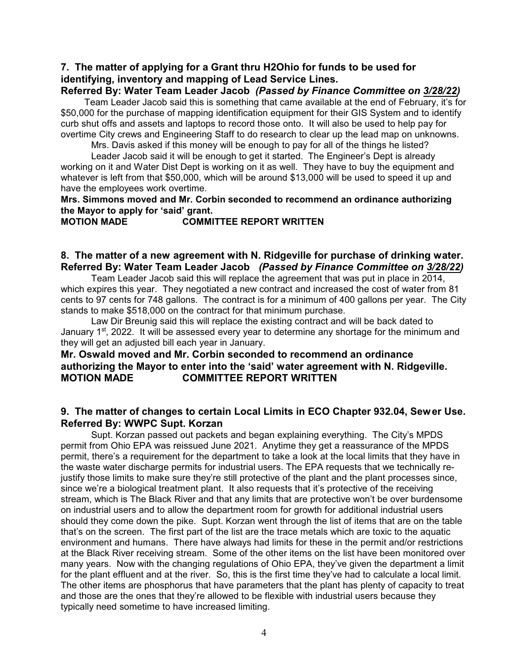## **7. The matter of applying for a Grant thru H2Ohio for funds to be used for identifying, inventory and mapping of Lead Service Lines.**

#### **Referred By: Water Team Leader Jacob** *(Passed by Finance Committee on 3/28/22)*

 Team Leader Jacob said this is something that came available at the end of February, it's for \$50,000 for the purchase of mapping identification equipment for their GIS System and to identify curb shut offs and assets and laptops to record those onto. It will also be used to help pay for overtime City crews and Engineering Staff to do research to clear up the lead map on unknowns.

Mrs. Davis asked if this money will be enough to pay for all of the things he listed?

Leader Jacob said it will be enough to get it started.The Engineer's Dept is already working on it and Water Dist Dept is working on it as well. They have to buy the equipment and whatever is left from that \$50,000, which will be around \$13,000 will be used to speed it up and have the employees work overtime.

**Mrs. Simmons moved and Mr. Corbin seconded to recommend an ordinance authorizing the Mayor to apply for 'said' grant.**

#### **MOTION MADE COMMITTEE REPORT WRITTEN**

#### **8. The matter of a new agreement with N. Ridgeville for purchase of drinking water. Referred By: Water Team Leader Jacob** *(Passed by Finance Committee on 3/28/22)*

Team Leader Jacob said this will replace the agreement that was put in place in 2014, which expires this year. They negotiated a new contract and increased the cost of water from 81 cents to 97 cents for 748 gallons. The contract is for a minimum of 400 gallons per year. The City stands to make \$518,000 on the contract for that minimum purchase.

Law Dir Breunig said this will replace the existing contract and will be back dated to January 1<sup>st</sup>, 2022. It will be assessed every year to determine any shortage for the minimum and they will get an adjusted bill each year in January.

## **Mr. Oswald moved and Mr. Corbin seconded to recommend an ordinance authorizing the Mayor to enter into the 'said' water agreement with N. Ridgeville. MOTION MADE COMMITTEE REPORT WRITTEN**

#### **9. The matter of changes to certain Local Limits in ECO Chapter 932.04, Sewer Use. Referred By: WWPC Supt. Korzan**

Supt. Korzan passed out packets and began explaining everything. The City's MPDS permit from Ohio EPA was reissued June 2021. Anytime they get a reassurance of the MPDS permit, there's a requirement for the department to take a look at the local limits that they have in the waste water discharge permits for industrial users. The EPA requests that we technically rejustify those limits to make sure they're still protective of the plant and the plant processes since, since we're a biological treatment plant. It also requests that it's protective of the receiving stream, which is The Black River and that any limits that are protective won't be over burdensome on industrial users and to allow the department room for growth for additional industrial users should they come down the pike. Supt. Korzan went through the list of items that are on the table that's on the screen. The first part of the list are the trace metals which are toxic to the aquatic environment and humans. There have always had limits for these in the permit and/or restrictions at the Black River receiving stream. Some of the other items on the list have been monitored over many years. Now with the changing regulations of Ohio EPA, they've given the department a limit for the plant effluent and at the river. So, this is the first time they've had to calculate a local limit. The other items are phosphorus that have parameters that the plant has plenty of capacity to treat and those are the ones that they're allowed to be flexible with industrial users because they typically need sometime to have increased limiting.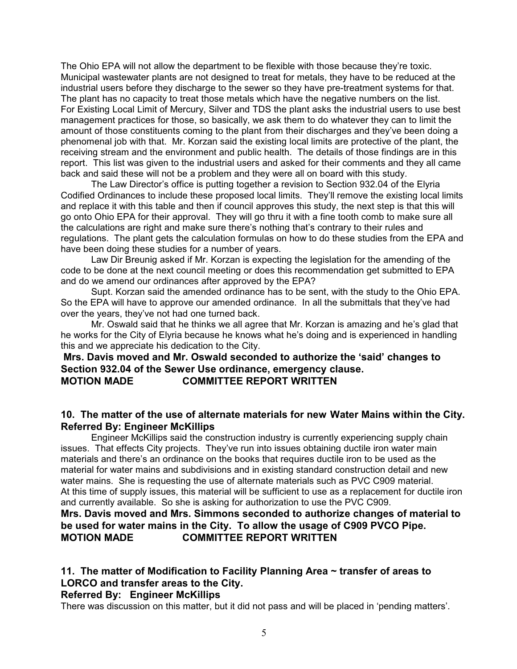The Ohio EPA will not allow the department to be flexible with those because they're toxic. Municipal wastewater plants are not designed to treat for metals, they have to be reduced at the industrial users before they discharge to the sewer so they have pre-treatment systems for that. The plant has no capacity to treat those metals which have the negative numbers on the list. For Existing Local Limit of Mercury, Silver and TDS the plant asks the industrial users to use best management practices for those, so basically, we ask them to do whatever they can to limit the amount of those constituents coming to the plant from their discharges and they've been doing a phenomenal job with that. Mr. Korzan said the existing local limits are protective of the plant, the receiving stream and the environment and public health. The details of those findings are in this report. This list was given to the industrial users and asked for their comments and they all came back and said these will not be a problem and they were all on board with this study.

The Law Director's office is putting together a revision to Section 932.04 of the Elyria Codified Ordinances to include these proposed local limits. They'll remove the existing local limits and replace it with this table and then if council approves this study, the next step is that this will go onto Ohio EPA for their approval. They will go thru it with a fine tooth comb to make sure all the calculations are right and make sure there's nothing that's contrary to their rules and regulations. The plant gets the calculation formulas on how to do these studies from the EPA and have been doing these studies for a number of years.

Law Dir Breunig asked if Mr. Korzan is expecting the legislation for the amending of the code to be done at the next council meeting or does this recommendation get submitted to EPA and do we amend our ordinances after approved by the EPA?

Supt. Korzan said the amended ordinance has to be sent, with the study to the Ohio EPA. So the EPA will have to approve our amended ordinance. In all the submittals that they've had over the years, they've not had one turned back.

Mr. Oswald said that he thinks we all agree that Mr. Korzan is amazing and he's glad that he works for the City of Elyria because he knows what he's doing and is experienced in handling this and we appreciate his dedication to the City.

## **Mrs. Davis moved and Mr. Oswald seconded to authorize the 'said' changes to Section 932.04 of the Sewer Use ordinance, emergency clause. MOTION MADE COMMITTEE REPORT WRITTEN**

#### **10. The matter of the use of alternate materials for new Water Mains within the City. Referred By: Engineer McKillips**

Engineer McKillips said the construction industry is currently experiencing supply chain issues. That effects City projects. They've run into issues obtaining ductile iron water main materials and there's an ordinance on the books that requires ductile iron to be used as the material for water mains and subdivisions and in existing standard construction detail and new water mains. She is requesting the use of alternate materials such as PVC C909 material. At this time of supply issues, this material will be sufficient to use as a replacement for ductile iron and currently available. So she is asking for authorization to use the PVC C909.

## **Mrs. Davis moved and Mrs. Simmons seconded to authorize changes of material to be used for water mains in the City. To allow the usage of C909 PVCO Pipe. MOTION MADE COMMITTEE REPORT WRITTEN**

## **11. The matter of Modification to Facility Planning Area ~ transfer of areas to LORCO and transfer areas to the City.**

#### **Referred By: Engineer McKillips**

There was discussion on this matter, but it did not pass and will be placed in 'pending matters'.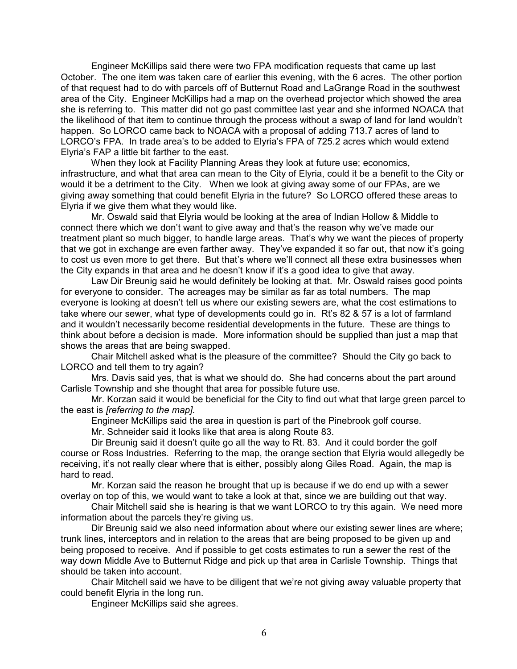Engineer McKillips said there were two FPA modification requests that came up last October. The one item was taken care of earlier this evening, with the 6 acres. The other portion of that request had to do with parcels off of Butternut Road and LaGrange Road in the southwest area of the City. Engineer McKillips had a map on the overhead projector which showed the area she is referring to. This matter did not go past committee last year and she informed NOACA that the likelihood of that item to continue through the process without a swap of land for land wouldn't happen. So LORCO came back to NOACA with a proposal of adding 713.7 acres of land to LORCO's FPA. In trade area's to be added to Elyria's FPA of 725.2 acres which would extend Elyria's FAP a little bit farther to the east.

When they look at Facility Planning Areas they look at future use; economics, infrastructure, and what that area can mean to the City of Elyria, could it be a benefit to the City or would it be a detriment to the City. When we look at giving away some of our FPAs, are we giving away something that could benefit Elyria in the future? So LORCO offered these areas to Elyria if we give them what they would like.

Mr. Oswald said that Elyria would be looking at the area of Indian Hollow & Middle to connect there which we don't want to give away and that's the reason why we've made our treatment plant so much bigger, to handle large areas. That's why we want the pieces of property that we got in exchange are even farther away. They've expanded it so far out, that now it's going to cost us even more to get there. But that's where we'll connect all these extra businesses when the City expands in that area and he doesn't know if it's a good idea to give that away.

Law Dir Breunig said he would definitely be looking at that. Mr. Oswald raises good points for everyone to consider. The acreages may be similar as far as total numbers. The map everyone is looking at doesn't tell us where our existing sewers are, what the cost estimations to take where our sewer, what type of developments could go in. Rt's 82 & 57 is a lot of farmland and it wouldn't necessarily become residential developments in the future. These are things to think about before a decision is made. More information should be supplied than just a map that shows the areas that are being swapped.

Chair Mitchell asked what is the pleasure of the committee? Should the City go back to LORCO and tell them to try again?

Mrs. Davis said yes, that is what we should do. She had concerns about the part around Carlisle Township and she thought that area for possible future use.

Mr. Korzan said it would be beneficial for the City to find out what that large green parcel to the east is *[referring to the map].*

Engineer McKillips said the area in question is part of the Pinebrook golf course.

Mr. Schneider said it looks like that area is along Route 83.

Dir Breunig said it doesn't quite go all the way to Rt. 83. And it could border the golf course or Ross Industries. Referring to the map, the orange section that Elyria would allegedly be receiving, it's not really clear where that is either, possibly along Giles Road. Again, the map is hard to read.

Mr. Korzan said the reason he brought that up is because if we do end up with a sewer overlay on top of this, we would want to take a look at that, since we are building out that way.

Chair Mitchell said she is hearing is that we want LORCO to try this again. We need more information about the parcels they're giving us.

Dir Breunig said we also need information about where our existing sewer lines are where; trunk lines, interceptors and in relation to the areas that are being proposed to be given up and being proposed to receive. And if possible to get costs estimates to run a sewer the rest of the way down Middle Ave to Butternut Ridge and pick up that area in Carlisle Township. Things that should be taken into account.

Chair Mitchell said we have to be diligent that we're not giving away valuable property that could benefit Elyria in the long run.

Engineer McKillips said she agrees.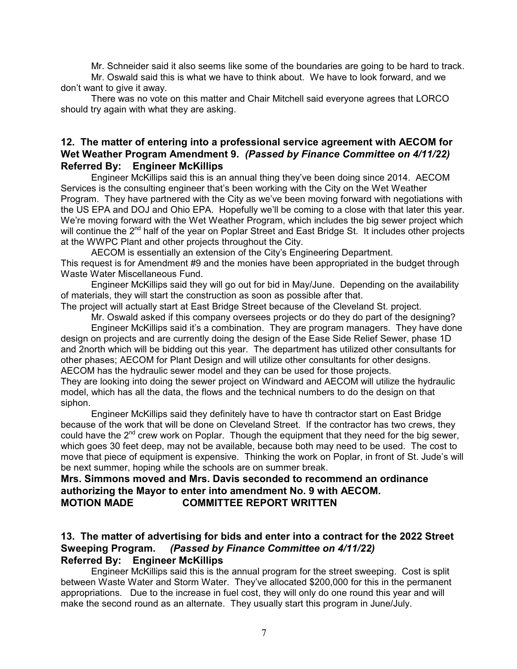Mr. Schneider said it also seems like some of the boundaries are going to be hard to track.

Mr. Oswald said this is what we have to think about. We have to look forward, and we don't want to give it away.

There was no vote on this matter and Chair Mitchell said everyone agrees that LORCO should try again with what they are asking.

#### **12. The matter of entering into a professional service agreement with AECOM for Wet Weather Program Amendment 9.** *(Passed by Finance Committee on 4/11/22)* **Referred By: Engineer McKillips**

Engineer McKillips said this is an annual thing they've been doing since 2014. AECOM Services is the consulting engineer that's been working with the City on the Wet Weather Program. They have partnered with the City as we've been moving forward with negotiations with the US EPA and DOJ and Ohio EPA. Hopefully we'll be coming to a close with that later this year. We're moving forward with the Wet Weather Program, which includes the big sewer project which will continue the 2<sup>nd</sup> half of the year on Poplar Street and East Bridge St. It includes other projects at the WWPC Plant and other projects throughout the City.

AECOM is essentially an extension of the City's Engineering Department. This request is for Amendment #9 and the monies have been appropriated in the budget through Waste Water Miscellaneous Fund.

Engineer McKillips said they will go out for bid in May/June. Depending on the availability of materials, they will start the construction as soon as possible after that.

The project will actually start at East Bridge Street because of the Cleveland St. project.

Mr. Oswald asked if this company oversees projects or do they do part of the designing? Engineer McKillips said it's a combination. They are program managers. They have done design on projects and are currently doing the design of the Ease Side Relief Sewer, phase 1D and 2north which will be bidding out this year. The department has utilized other consultants for other phases; AECOM for Plant Design and will utilize other consultants for other designs. AECOM has the hydraulic sewer model and they can be used for those projects.

They are looking into doing the sewer project on Windward and AECOM will utilize the hydraulic model, which has all the data, the flows and the technical numbers to do the design on that siphon.

Engineer McKillips said they definitely have to have th contractor start on East Bridge because of the work that will be done on Cleveland Street. If the contractor has two crews, they could have the 2<sup>nd</sup> crew work on Poplar. Though the equipment that they need for the big sewer, which goes 30 feet deep, may not be available, because both may need to be used. The cost to move that piece of equipment is expensive. Thinking the work on Poplar, in front of St. Jude's will be next summer, hoping while the schools are on summer break.

#### **Mrs. Simmons moved and Mrs. Davis seconded to recommend an ordinance authorizing the Mayor to enter into amendment No. 9 with AECOM. MOTION MADE COMMITTEE REPORT WRITTEN**

#### **13. The matter of advertising for bids and enter into a contract for the 2022 Street Sweeping Program.** *(Passed by Finance Committee on 4/11/22)* **Referred By: Engineer McKillips**

Engineer McKillips said this is the annual program for the street sweeping. Cost is split between Waste Water and Storm Water. They've allocated \$200,000 for this in the permanent appropriations. Due to the increase in fuel cost, they will only do one round this year and will make the second round as an alternate. They usually start this program in June/July.